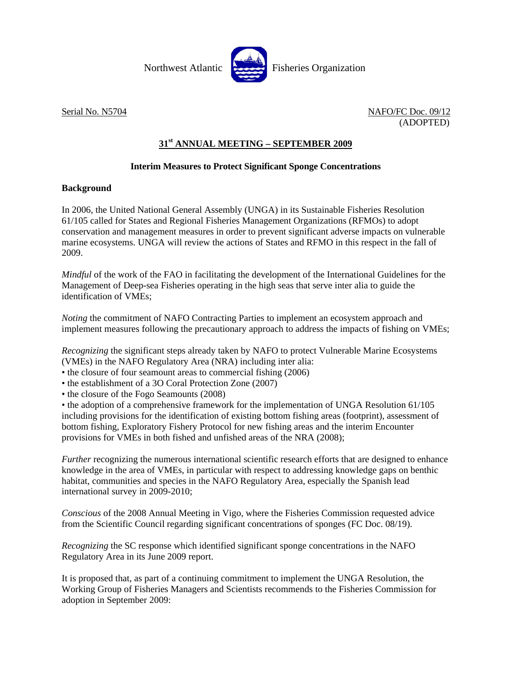

Serial No. N5704 NAFO/FC Doc. 09/12 (ADOPTED)

## **31st ANNUAL MEETING – SEPTEMBER 2009**

## **Interim Measures to Protect Significant Sponge Concentrations**

## **Background**

In 2006, the United National General Assembly (UNGA) in its Sustainable Fisheries Resolution 61/105 called for States and Regional Fisheries Management Organizations (RFMOs) to adopt conservation and management measures in order to prevent significant adverse impacts on vulnerable marine ecosystems. UNGA will review the actions of States and RFMO in this respect in the fall of 2009.

*Mindful* of the work of the FAO in facilitating the development of the International Guidelines for the Management of Deep-sea Fisheries operating in the high seas that serve inter alia to guide the identification of VMEs;

*Noting* the commitment of NAFO Contracting Parties to implement an ecosystem approach and implement measures following the precautionary approach to address the impacts of fishing on VMEs;

*Recognizing* the significant steps already taken by NAFO to protect Vulnerable Marine Ecosystems (VMEs) in the NAFO Regulatory Area (NRA) including inter alia:

- the closure of four seamount areas to commercial fishing (2006)
- the establishment of a 3O Coral Protection Zone (2007)
- the closure of the Fogo Seamounts (2008)

• the adoption of a comprehensive framework for the implementation of UNGA Resolution 61/105 including provisions for the identification of existing bottom fishing areas (footprint), assessment of bottom fishing, Exploratory Fishery Protocol for new fishing areas and the interim Encounter provisions for VMEs in both fished and unfished areas of the NRA (2008);

*Further* recognizing the numerous international scientific research efforts that are designed to enhance knowledge in the area of VMEs, in particular with respect to addressing knowledge gaps on benthic habitat, communities and species in the NAFO Regulatory Area, especially the Spanish lead international survey in 2009-2010;

*Conscious* of the 2008 Annual Meeting in Vigo, where the Fisheries Commission requested advice from the Scientific Council regarding significant concentrations of sponges (FC Doc. 08/19).

*Recognizing* the SC response which identified significant sponge concentrations in the NAFO Regulatory Area in its June 2009 report.

It is proposed that, as part of a continuing commitment to implement the UNGA Resolution, the Working Group of Fisheries Managers and Scientists recommends to the Fisheries Commission for adoption in September 2009: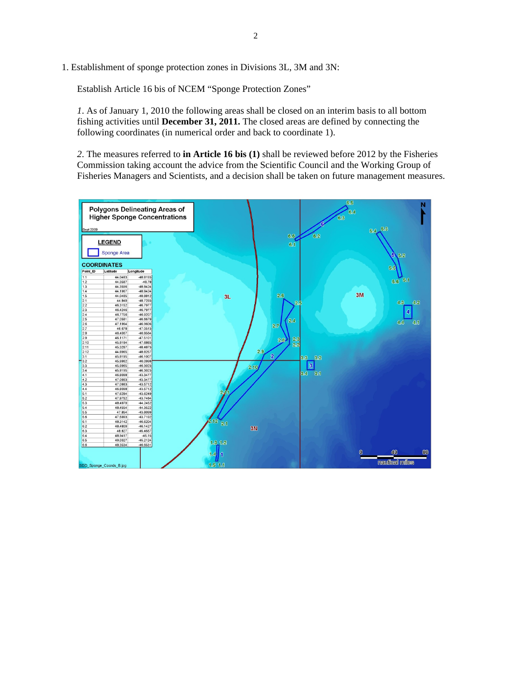1. Establishment of sponge protection zones in Divisions 3L, 3M and 3N:

Establish Article 16 bis of NCEM "Sponge Protection Zones"

*1*. As of January 1, 2010 the following areas shall be closed on an interim basis to all bottom fishing activities until **December 31, 2011.** The closed areas are defined by connecting the following coordinates (in numerical order and back to coordinate 1).

*2*. The measures referred to **in Article 16 bis (1)** shall be reviewed before 2012 by the Fisheries Commission taking account the advice from the Scientific Council and the Working Group of Fisheries Managers and Scientists, and a decision shall be taken on future management measures.